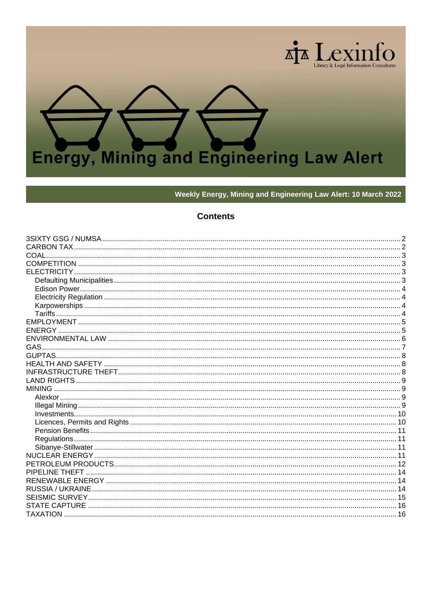

Weekly Energy, Mining and Engineering Law Alert: 10 March 2022

# **Contents**

<span id="page-0-0"></span>

| PIPELINE THEFT  |      |
|-----------------|------|
|                 |      |
|                 |      |
|                 |      |
|                 |      |
| <b>TAXATION</b> | . 16 |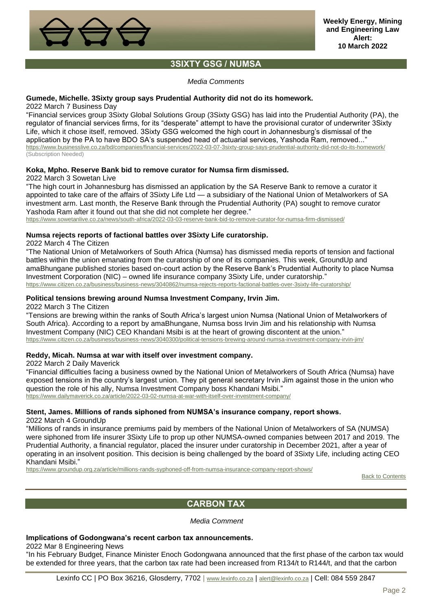

# **3SIXTY GSG / NUMSA**

*Media Comments*

### <span id="page-1-0"></span>**Gumede, Michelle. 3Sixty group says Prudential Authority did not do its homework.**

2022 March 7 Business Day

"Financial services group 3Sixty Global Solutions Group (3Sixty GSG) has laid into the Prudential Authority (PA), the regulator of financial services firms, for its "desperate" attempt to have the provisional curator of underwriter 3Sixty Life, which it chose itself, removed. 3Sixty GSG welcomed the high court in Johannesburg's dismissal of the application by the PA to have BDO SA's suspended head of actuarial services, Yashoda Ram, removed..." <https://www.businesslive.co.za/bd/companies/financial-services/2022-03-07-3sixty-group-says-prudential-authority-did-not-do-its-homework/> (Subscription Needed)

## **Koka, Mpho. Reserve Bank bid to remove curator for Numsa firm dismissed.**

2022 March 3 Sowetan Live

"The high court in Johannesburg has dismissed an application by the SA Reserve Bank to remove a curator it appointed to take care of the affairs of 3Sixty Life Ltd — a subsidiary of the National Union of Metalworkers of SA investment arm. Last month, the Reserve Bank through the Prudential Authority (PA) sought to remove curator Yashoda Ram after it found out that she did not complete her degree."

<https://www.sowetanlive.co.za/news/south-africa/2022-03-03-reserve-bank-bid-to-remove-curator-for-numsa-firm-dismissed/>

# **Numsa rejects reports of factional battles over 3Sixty Life curatorship.**

2022 March 4 The Citizen

"The National Union of Metalworkers of South Africa (Numsa) has dismissed media reports of tension and factional battles within the union emanating from the curatorship of one of its companies. This week, GroundUp and amaBhungane published stories based on-court action by the Reserve Bank's Prudential Authority to place Numsa Investment Corporation (NIC) – owned life insurance company 3Sixty Life, under curatorship." <https://www.citizen.co.za/business/business-news/3040862/numsa-rejects-reports-factional-battles-over-3sixty-life-curatorship/>

### **Political tensions brewing around Numsa Investment Company, Irvin Jim.**

2022 March 3 The Citizen

"Tensions are brewing within the ranks of South Africa's largest union Numsa (National Union of Metalworkers of South Africa). According to a report by amaBhungane, Numsa boss Irvin Jim and his relationship with Numsa Investment Company (NIC) CEO Khandani Msibi is at the heart of growing discontent at the union." <https://www.citizen.co.za/business/business-news/3040300/political-tensions-brewing-around-numsa-investment-company-irvin-jim/>

## **Reddy, Micah. Numsa at war with itself over investment company.**

2022 March 2 Daily Maverick

"Financial difficulties facing a business owned by the National Union of Metalworkers of South Africa (Numsa) have exposed tensions in the country's largest union. They pit general secretary Irvin Jim against those in the union who question the role of his ally, Numsa Investment Company boss Khandani Msibi." <https://www.dailymaverick.co.za/article/2022-03-02-numsa-at-war-with-itself-over-investment-company/>

# **Stent, James. Millions of rands siphoned from NUMSA's insurance company, report shows.**

2022 March 4 GroundUp

"Millions of rands in insurance premiums paid by members of the National Union of Metalworkers of SA (NUMSA) were siphoned from life insurer 3Sixty Life to prop up other NUMSA-owned companies between 2017 and 2019. The Prudential Authority, a financial regulator, placed the insurer under curatorship in December 2021, after a year of operating in an insolvent position. This decision is being challenged by the board of 3Sixty Life, including acting CEO Khandani Msibi."

<span id="page-1-1"></span><https://www.groundup.org.za/article/millions-rands-syphoned-off-from-numsa-insurance-company-report-shows/>

[Back to Contents](#page-0-0)

# **CARBON TAX**

*Media Comment*

#### **Implications of Godongwana's recent carbon tax announcements.**

2022 Mar 8 Engineering News

"In his February Budget, Finance Minister Enoch Godongwana announced that the first phase of the carbon tax would be extended for three years, that the carbon tax rate had been increased from R134/t to R144/t, and that the carbon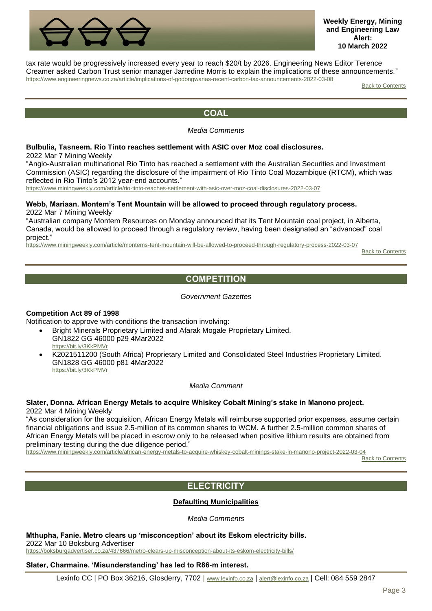

tax rate would be progressively increased every year to reach \$20/t by 2026. Engineering News Editor Terence Creamer asked Carbon Trust senior manager Jarredine Morris to explain the implications of these announcements." <https://www.engineeringnews.co.za/article/implications-of-godongwanas-recent-carbon-tax-announcements-2022-03-08>

[Back to Contents](#page-0-0)

# **COAL**

## *Media Comments*

# <span id="page-2-0"></span>**Bulbulia, Tasneem. Rio Tinto reaches settlement with ASIC over Moz coal disclosures.**

2022 Mar 7 Mining Weekly

"Anglo-Australian multinational Rio Tinto has reached a settlement with the Australian Securities and Investment Commission (ASIC) regarding the disclosure of the impairment of Rio Tinto Coal Mozambique (RTCM), which was reflected in Rio Tinto's 2012 year-end accounts."

<https://www.miningweekly.com/article/rio-tinto-reaches-settlement-with-asic-over-moz-coal-disclosures-2022-03-07>

### **Webb, Mariaan. Montem's Tent Mountain will be allowed to proceed through regulatory process.** 2022 Mar 7 Mining Weekly

"Australian company Montem Resources on Monday announced that its Tent Mountain coal project, in Alberta, Canada, would be allowed to proceed through a regulatory review, having been designated an "advanced" coal project."

<span id="page-2-1"></span><https://www.miningweekly.com/article/montems-tent-mountain-will-be-allowed-to-proceed-through-regulatory-process-2022-03-07>

[Back to Contents](#page-0-0)

# **COMPETITION**

### *Government Gazettes*

# **Competition Act 89 of 1998**

Notification to approve with conditions the transaction involving:

- Bright Minerals Proprietary Limited and Afarak Mogale Proprietary Limited. GN1822 GG 46000 p29 4Mar2022 <https://bit.ly/3KkPMVr>
- K2021511200 (South Africa) Proprietary Limited and Consolidated Steel Industries Proprietary Limited. GN1828 GG 46000 p81 4Mar2022 <https://bit.ly/3KkPMVr>

# *Media Comment*

#### **Slater, Donna. African Energy Metals to acquire Whiskey Cobalt Mining's stake in Manono project.** 2022 Mar 4 Mining Weekly

"As consideration for the acquisition, African Energy Metals will reimburse supported prior expenses, assume certain financial obligations and issue 2.5-million of its common shares to WCM. A further 2.5-million common shares of African Energy Metals will be placed in escrow only to be released when positive lithium results are obtained from preliminary testing during the due diligence period."

<span id="page-2-2"></span><https://www.miningweekly.com/article/african-energy-metals-to-acquire-whiskey-cobalt-minings-stake-in-manono-project-2022-03-04>

**[Back to Contents](#page-0-0)** 

# **ELECTRICITY**

# **Defaulting Municipalities**

*Media Comments*

<span id="page-2-3"></span>**Mthupha, Fanie. Metro clears up 'misconception' about its Eskom electricity bills.**

2022 Mar 10 Boksburg Advertiser

<https://boksburgadvertiser.co.za/437666/metro-clears-up-misconception-about-its-eskom-electricity-bills/>

# **Slater, Charmaine. 'Misunderstanding' has led to R86-m interest.**

Lexinfo CC | PO Box 36216, Glosderry, 7702 | [www.lexinfo.co.za](http://www.lexinfo.co.za/) | [alert@lexinfo.co.za](mailto:alert@lexinfo.co.za) | Cell: 084 559 2847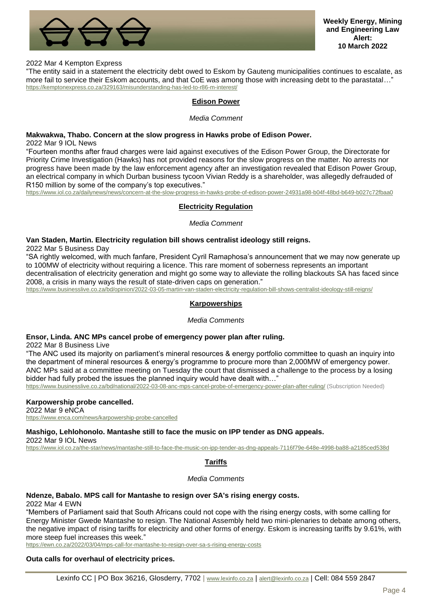

### 2022 Mar 4 Kempton Express

<span id="page-3-0"></span>"The entity said in a statement the electricity debt owed to Eskom by Gauteng municipalities continues to escalate, as more fail to service their Eskom accounts, and that CoE was among those with increasing debt to the parastatal...' <https://kemptonexpress.co.za/329163/misunderstanding-has-led-to-r86-m-interest/>

# **Edison Power**

#### *Media Comment*

### **Makwakwa, Thabo. Concern at the slow progress in Hawks probe of Edison Power.**

2022 Mar 9 IOL News

"Fourteen months after fraud charges were laid against executives of the Edison Power Group, the Directorate for Priority Crime Investigation (Hawks) has not provided reasons for the slow progress on the matter. No arrests nor progress have been made by the law enforcement agency after an investigation revealed that Edison Power Group, an electrical company in which Durban business tycoon Vivian Reddy is a shareholder, was allegedly defrauded of R150 million by some of the company's top executives."

<span id="page-3-1"></span><https://www.iol.co.za/dailynews/news/concern-at-the-slow-progress-in-hawks-probe-of-edison-power-24931a98-b04f-48bd-b649-b027c72fbaa0>

### **Electricity Regulation**

#### *Media Comment*

### **Van Staden, Martin. Electricity regulation bill shows centralist ideology still reigns.**

2022 Mar 5 Business Day

"SA rightly welcomed, with much fanfare, President Cyril Ramaphosa's announcement that we may now generate up to 100MW of electricity without requiring a licence. This rare moment of soberness represents an important decentralisation of electricity generation and might go some way to alleviate the rolling blackouts SA has faced since 2008, a crisis in many ways the result of state-driven caps on generation."

<span id="page-3-2"></span><https://www.businesslive.co.za/bd/opinion/2022-03-05-martin-van-staden-electricity-regulation-bill-shows-centralist-ideology-still-reigns/>

#### **Karpowerships**

*Media Comments*

### **Ensor, Linda. ANC MPs cancel probe of emergency power plan after ruling.**

2022 Mar 8 Business Live

"The ANC used its majority on parliament's mineral resources & energy portfolio committee to quash an inquiry into the department of mineral resources & energy's programme to procure more than 2,000MW of emergency power. ANC MPs said at a committee meeting on Tuesday the court that dismissed a challenge to the process by a losing bidder had fully probed the issues the planned inquiry would have dealt with..."

<https://www.businesslive.co.za/bd/national/2022-03-08-anc-mps-cancel-probe-of-emergency-power-plan-after-ruling/> (Subscription Needed)

### **Karpowership probe cancelled.**

2022 Mar 9 eNCA <https://www.enca.com/news/karpowership-probe-cancelled>

**Mashigo, Lehlohonolo. Mantashe still to face the music on IPP tender as DNG appeals.** 2022 Mar 9 IOL News

<span id="page-3-3"></span><https://www.iol.co.za/the-star/news/mantashe-still-to-face-the-music-on-ipp-tender-as-dng-appeals-7116f79e-648e-4998-ba88-a2185ced538d>

# **Tariffs**

#### *Media Comments*

### **Ndenze, Babalo. MPS call for Mantashe to resign over SA's rising energy costs.**

2022 Mar 4 EWN

"Members of Parliament said that South Africans could not cope with the rising energy costs, with some calling for Energy Minister Gwede Mantashe to resign. The National Assembly held two mini-plenaries to debate among others, the negative impact of rising tariffs for electricity and other forms of energy. Eskom is increasing tariffs by 9.61%, with more steep fuel increases this week."

<https://ewn.co.za/2022/03/04/mps-call-for-mantashe-to-resign-over-sa-s-rising-energy-costs>

# **Outa calls for overhaul of electricity prices.**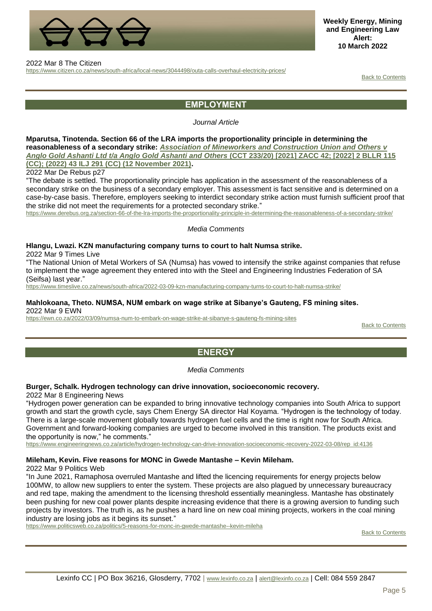

**Weekly Energy, Mining and Engineering Law Alert: 10 March 2022**

#### 2022 Mar 8 The Citizen

<span id="page-4-0"></span><https://www.citizen.co.za/news/south-africa/local-news/3044498/outa-calls-overhaul-electricity-prices/>

[Back to Contents](#page-0-0)

# **EMPLOYMENT**

### *Journal Article*

# **Mparutsa, Tinotenda. Section 66 of the LRA imports the proportionality principle in determining the**

**reasonableness of a secondary strike:** *Association [of Mineworkers and Construction Union and Others v](http://www.saflii.org/za/cases/ZACC/2021/42.pdf)  [Anglo Gold Ashanti Ltd t/a Anglo Gold Ashanti and Others](http://www.saflii.org/za/cases/ZACC/2021/42.pdf)* **(CCT 233/20) [2021] ZACC 42; [2022] 2 BLLR 115 [\(CC\); \(2022\) 43 ILJ 291 \(CC\) \(12 November 2021\).](http://www.saflii.org/za/cases/ZACC/2021/42.pdf)**

2022 Mar De Rebus p27

"The debate is settled. The proportionality principle has application in the assessment of the reasonableness of a secondary strike on the business of a secondary employer. This assessment is fact sensitive and is determined on a case-by-case basis. Therefore, employers seeking to interdict secondary strike action must furnish sufficient proof that the strike did not meet the requirements for a protected secondary strike."

<https://www.derebus.org.za/section-66-of-the-lra-imports-the-proportionality-principle-in-determining-the-reasonableness-of-a-secondary-strike/>

#### *Media Comments*

### **Hlangu, Lwazi. KZN manufacturing company turns to court to halt Numsa strike.**

2022 Mar 9 Times Live

"The National Union of Metal Workers of SA (Numsa) has vowed to intensify the strike against companies that refuse to implement the wage agreement they entered into with the Steel and Engineering Industries Federation of SA (Seifsa) last year."

<https://www.timeslive.co.za/news/south-africa/2022-03-09-kzn-manufacturing-company-turns-to-court-to-halt-numsa-strike/>

### **Mahlokoana, Theto. NUMSA, NUM embark on wage strike at Sibanye's Gauteng, FS mining sites.** 2022 Mar 9 EWN

<span id="page-4-1"></span><https://ewn.co.za/2022/03/09/numsa-num-to-embark-on-wage-strike-at-sibanye-s-gauteng-fs-mining-sites>

[Back to Contents](#page-0-0)

# **ENERGY**

*Media Comments*

# **Burger, Schalk. Hydrogen technology can drive innovation, socioeconomic recovery.**

2022 Mar 8 Engineering News

"Hydrogen power generation can be expanded to bring innovative technology companies into South Africa to support growth and start the growth cycle, says Chem Energy SA director Hal Koyama. "Hydrogen is the technology of today. There is a large-scale movement globally towards hydrogen fuel cells and the time is right now for South Africa. Government and forward-looking companies are urged to become involved in this transition. The products exist and the opportunity is now," he comments."

[https://www.engineeringnews.co.za/article/hydrogen-technology-can-drive-innovation-socioeconomic-recovery-2022-03-08/rep\\_id:4136](https://www.engineeringnews.co.za/article/hydrogen-technology-can-drive-innovation-socioeconomic-recovery-2022-03-08/rep_id:4136)

### **Mileham, Kevin. Five reasons for MONC in Gwede Mantashe – Kevin Mileham.**

2022 Mar 9 Politics Web

"In June 2021, Ramaphosa overruled Mantashe and lifted the licencing requirements for energy projects below 100MW, to allow new suppliers to enter the system. These projects are also plagued by unnecessary bureaucracy and red tape, making the amendment to the licensing threshold essentially meaningless. Mantashe has obstinately been pushing for new coal power plants despite increasing evidence that there is a growing aversion to funding such projects by investors. The truth is, as he pushes a hard line on new coal mining projects, workers in the coal mining industry are losing jobs as it begins its sunset."

<https://www.politicsweb.co.za/politics/5-reasons-for-monc-in-gwede-mantashe--kevin-mileha>

[Back to Contents](#page-0-0)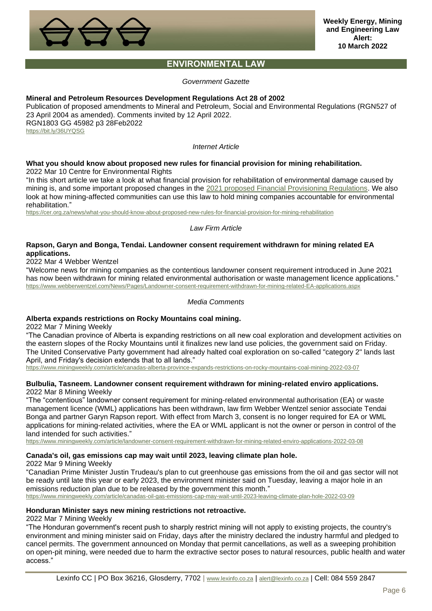

# **ENVIRONMENTAL LAW**

*Government Gazette*

### <span id="page-5-0"></span>**Mineral and Petroleum Resources Development Regulations Act 28 of 2002**

Publication of proposed amendments to Mineral and Petroleum, Social and Environmental Regulations (RGN527 of 23 April 2004 as amended). Comments invited by 12 April 2022. RGN1803 GG 45982 p3 28Feb2022 <https://bit.ly/36UYQSG>

*Internet Article*

### **What you should know about proposed new rules for financial provision for mining rehabilitation.** 2022 Mar 10 Centre for Environmental Rights

"In this short article we take a look at what financial provision for rehabilitation of environmental damage caused by mining is, and some important proposed changes in the [2021 proposed Financial Provisioning Regulations.](https://cer.org.za/wp-content/uploads/2021/08/Draft-Financial-Provisioning-Regulations-2021-30August202) We also look at how mining-affected communities can use this law to hold mining companies accountable for environmental rehabilitation."

<https://cer.org.za/news/what-you-should-know-about-proposed-new-rules-for-financial-provision-for-mining-rehabilitation>

*Law Firm Article*

## **Rapson, Garyn and Bonga, Tendai. Landowner consent requirement withdrawn for mining related EA applications.**

2022 Mar 4 Webber Wentzel

"Welcome news for mining companies as the contentious landowner consent requirement introduced in June 2021 has now been withdrawn for mining related environmental authorisation or waste management licence applications." <https://www.webberwentzel.com/News/Pages/Landowner-consent-requirement-withdrawn-for-mining-related-EA-applications.aspx>

*Media Comments*

### **Alberta expands restrictions on Rocky Mountains coal mining.**

2022 Mar 7 Mining Weekly

"The Canadian province of Alberta is expanding restrictions on all new coal exploration and development activities on the eastern slopes of the Rocky Mountains until it finalizes new land use policies, the government said on Friday. The United Conservative Party government had already halted coal exploration on so-called "category 2" lands last April, and Friday's decision extends that to all lands."

<https://www.miningweekly.com/article/canadas-alberta-province-expands-restrictions-on-rocky-mountains-coal-mining-2022-03-07>

### **Bulbulia, Tasneem. Landowner consent requirement withdrawn for mining-related enviro applications.** 2022 Mar 8 Mining Weekly

"The "contentious" landowner consent requirement for mining-related environmental authorisation (EA) or waste management licence (WML) applications has been withdrawn, law firm Webber Wentzel senior associate Tendai Bonga and partner Garyn Rapson report. With effect from March 3, consent is no longer required for EA or WML applications for mining-related activities, where the EA or WML applicant is not the owner or person in control of the land intended for such activities."

<https://www.miningweekly.com/article/landowner-consent-requirement-withdrawn-for-mining-related-enviro-applications-2022-03-08>

# **Canada's oil, gas emissions cap may wait until 2023, leaving climate plan hole.**

2022 Mar 9 Mining Weekly

"Canadian Prime Minister Justin Trudeau's plan to cut greenhouse gas emissions from the oil and gas sector will not be ready until late this year or early 2023, the environment minister said on Tuesday, leaving a major hole in an emissions reduction plan due to be released by the government this month." <https://www.miningweekly.com/article/canadas-oil-gas-emissions-cap-may-wait-until-2023-leaving-climate-plan-hole-2022-03-09>

**Honduran Minister says new mining restrictions not retroactive.**

2022 Mar 7 Mining Weekly

"The Honduran government's recent push to sharply restrict mining will not apply to existing projects, the country's environment and mining minister said on Friday, days after the ministry declared the industry harmful and pledged to cancel permits. The government announced on Monday that permit cancellations, as well as a sweeping prohibition on open-pit mining, were needed due to harm the extractive sector poses to natural resources, public health and water access."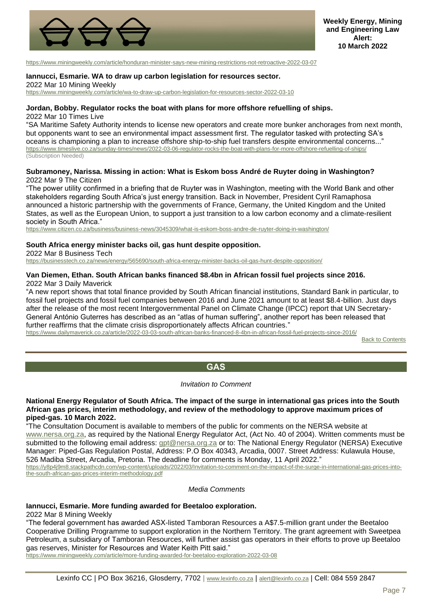

<https://www.miningweekly.com/article/honduran-minister-says-new-mining-restrictions-not-retroactive-2022-03-07>

#### **Iannucci, Esmarie. WA to draw up carbon legislation for resources sector.**

2022 Mar 10 Mining Weekly

<https://www.miningweekly.com/article/wa-to-draw-up-carbon-legislation-for-resources-sector-2022-03-10>

#### **Jordan, Bobby. Regulator rocks the boat with plans for more offshore refuelling of ships.** 2022 Mar 10 Times Live

"SA Maritime Safety Authority intends to license new operators and create more bunker anchorages from next month, but opponents want to see an environmental impact assessment first. The regulator tasked with protecting SA's oceans is championing a plan to increase offshore ship-to-ship fuel transfers despite environmental concerns..." <https://www.timeslive.co.za/sunday-times/news/2022-03-06-regulator-rocks-the-boat-with-plans-for-more-offshore-refuelling-of-ships/> (Subscription Needed)

### **Subramoney, Narissa. Missing in action: What is Eskom boss André de Ruyter doing in Washington?** 2022 Mar 9 The Citizen

"The power utility confirmed in a briefing that de Ruyter was in Washington, meeting with the World Bank and other stakeholders regarding South Africa's just energy transition. Back in November, President Cyril Ramaphosa announced a historic partnership with the governments of France, Germany, the United Kingdom and the United States, as well as the European Union, to support a just transition to a low carbon economy and a climate-resilient society in South Africa."

<https://www.citizen.co.za/business/business-news/3045309/what-is-eskom-boss-andre-de-ruyter-doing-in-washington/>

#### **South Africa energy minister backs oil, gas hunt despite opposition.**

2022 Mar 8 Business Tech

<https://businesstech.co.za/news/energy/565690/south-africa-energy-minister-backs-oil-gas-hunt-despite-opposition/>

# **Van Diemen, Ethan. South African banks financed \$8.4bn in African fossil fuel projects since 2016.**

2022 Mar 3 Daily Maverick

"A new report shows that total finance provided by South African financial institutions, Standard Bank in particular, to fossil fuel projects and fossil fuel companies between 2016 and June 2021 amount to at least \$8.4-billion. Just days after the release of the most recent Intergovernmental Panel on Climate Change (IPCC) report that UN Secretary-General António Guterres has described as an "atlas of human suffering", another report has been released that further reaffirms that the climate crisis disproportionately affects African countries."

<span id="page-6-0"></span><https://www.dailymaverick.co.za/article/2022-03-03-south-african-banks-financed-8-4bn-in-african-fossil-fuel-projects-since-2016/>

[Back to Contents](#page-0-0)

# **GAS**

#### *Invitation to Comment*

**National Energy Regulator of South Africa. The impact of the surge in international gas prices into the South African gas prices, interim methodology, and review of the methodology to approve maximum prices of piped-gas. 10 March 2022.**

"The Consultation Document is available to members of the public for comments on the NERSA website at [www.nersa.org.za,](http://www.nersa.org.za/) as required by the National Energy Regulator Act, (Act No. 40 of 2004). Written comments must be submitted to the following email address: [gpt@nersa.org.za](mailto:gpt@nersa.org.za) or to: The National Energy Regulator (NERSA) Executive Manager: Piped-Gas Regulation Postal, Address: P.O Box 40343, Arcadia, 0007. Street Address: Kulawula House, 526 Madiba Street, Arcadia, Pretoria. The deadline for comments is Monday, 11 April 2022."

[https://y8p4j9m8.stackpathcdn.com/wp-content/uploads/2022/03/Invitation-to-comment-on-the-impact-of-the-surge-in-international-gas-prices-into](https://y8p4j9m8.stackpathcdn.com/wp-content/uploads/2022/03/Invitation-to-comment-on-the-impact-of-the-surge-in-international-gas-prices-into-the-south-african-gas-prices-interim-methodology.pdf)[the-south-african-gas-prices-interim-methodology.pdf](https://y8p4j9m8.stackpathcdn.com/wp-content/uploads/2022/03/Invitation-to-comment-on-the-impact-of-the-surge-in-international-gas-prices-into-the-south-african-gas-prices-interim-methodology.pdf)

*Media Comments*

# **Iannucci, Esmarie. More funding awarded for Beetaloo exploration.**

2022 Mar 8 Mining Weekly

"The federal government has awarded ASX-listed Tamboran Resources a A\$7.5-million grant under the Beetaloo Cooperative Drilling Programme to support exploration in the Northern Territory. The grant agreement with Sweetpea Petroleum, a subsidiary of Tamboran Resources, will further assist gas operators in their efforts to prove up Beetaloo gas reserves, Minister for Resources and Water Keith Pitt said."

<https://www.miningweekly.com/article/more-funding-awarded-for-beetaloo-exploration-2022-03-08>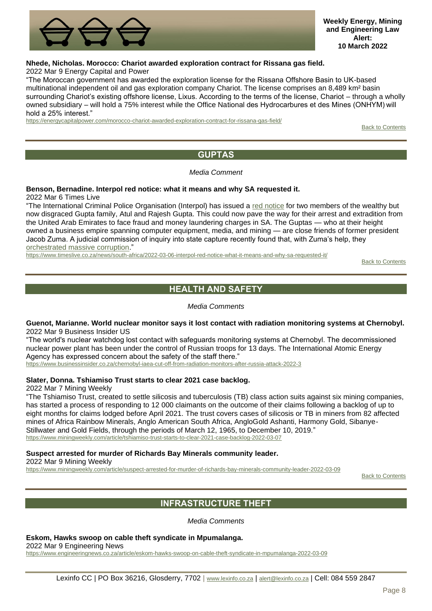

# **Nhede, Nicholas. Morocco: Chariot awarded exploration contract for Rissana gas field.**

2022 Mar 9 Energy Capital and Power

"The Moroccan government has awarded the exploration license for the Rissana Offshore Basin to UK-based multinational independent oil and gas exploration company Chariot. The license comprises an 8,489 km² basin surrounding Chariot's existing offshore license, Lixus. According to the terms of the license, Chariot – through a wholly owned subsidiary – will hold a 75% interest while the Office National des Hydrocarbures et des Mines (ONHYM) will hold a 25% interest."

<span id="page-7-0"></span><https://energycapitalpower.com/morocco-chariot-awarded-exploration-contract-for-rissana-gas-field/>

[Back to Contents](#page-0-0)

# **GUPTAS**

### *Media Comment*

# **Benson, Bernadine. Interpol red notice: what it means and why SA requested it.**

2022 Mar 6 Times Live

"The International Criminal Police Organisation (Interpol) has issued a [red notice](https://www.news24.com/news24/southafrica/news/just-in-interpol-issues-red-notices-for-atul-and-rajesh-gupta-on-cronjes-last-day-as-id-head-20220228) for two members of the wealthy but now disgraced Gupta family, Atul and Rajesh Gupta. This could now pave the way for their arrest and extradition from the United Arab Emirates to face fraud and money laundering charges in SA. The Guptas — who at their height owned a business empire spanning computer equipment, media, and mining — are close friends of former president Jacob Zuma. A judicial commission of inquiry into state capture recently found that, with Zuma's help, they [orchestrated massive corruption."](https://theconversation.com/state-capture-in-south-africa-how-the-rot-set-in-and-how-the-project-was-rumbled-176481)

<span id="page-7-1"></span><https://www.timeslive.co.za/news/south-africa/2022-03-06-interpol-red-notice-what-it-means-and-why-sa-requested-it/>

**[Back to Contents](#page-0-0)** 

# **HEALTH AND SAFETY**

*Media Comments*

**Guenot, Marianne. World nuclear monitor says it lost contact with radiation monitoring systems at Chernobyl.** 2022 Mar 9 Business Insider US

"The world's nuclear watchdog lost contact with safeguards monitoring systems at Chernobyl. The decommissioned nuclear power plant has been under the control of Russian troops for 13 days. The International Atomic Energy Agency has expressed concern about the safety of the staff there."

<https://www.businessinsider.co.za/chernobyl-iaea-cut-off-from-radiation-monitors-after-russia-attack-2022-3>

# **Slater, Donna. Tshiamiso Trust starts to clear 2021 case backlog.**

2022 Mar 7 Mining Weekly

"The Tshiamiso Trust, created to settle silicosis and tuberculosis (TB) class action suits against six mining companies, has started a process of responding to 12 000 claimants on the outcome of their claims following a backlog of up to eight months for claims lodged before April 2021. The trust covers cases of silicosis or TB in miners from 82 affected mines of Africa Rainbow Minerals, Anglo American South Africa, AngloGold Ashanti, Harmony Gold, Sibanye-Stillwater and Gold Fields, through the periods of March 12, 1965, to December 10, 2019." <https://www.miningweekly.com/article/tshiamiso-trust-starts-to-clear-2021-case-backlog-2022-03-07>

### **Suspect arrested for murder of Richards Bay Minerals community leader.**

2022 Mar 9 Mining Weekly

<span id="page-7-2"></span><https://www.miningweekly.com/article/suspect-arrested-for-murder-of-richards-bay-minerals-community-leader-2022-03-09>

[Back to Contents](#page-0-0)

# **INFRASTRUCTURE THEFT**

*Media Comments*

### **Eskom, Hawks swoop on cable theft syndicate in Mpumalanga.**

2022 Mar 9 Engineering News

<https://www.engineeringnews.co.za/article/eskom-hawks-swoop-on-cable-theft-syndicate-in-mpumalanga-2022-03-09>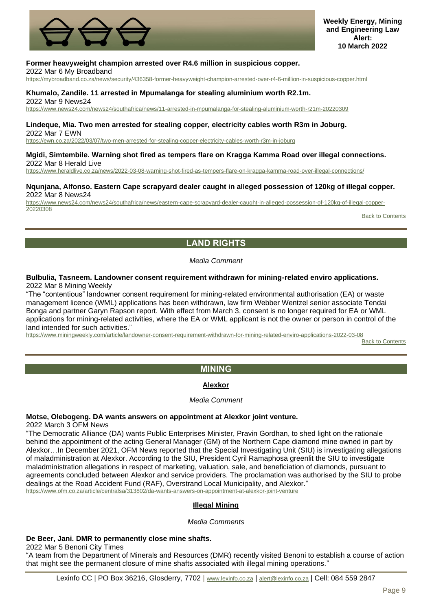

# **Former heavyweight champion arrested over R4.6 million in suspicious copper.**

2022 Mar 6 My Broadband

<https://mybroadband.co.za/news/security/436358-former-heavyweight-champion-arrested-over-r4-6-million-in-suspicious-copper.html>

# **Khumalo, Zandile. 11 arrested in Mpumalanga for stealing aluminium worth R2.1m.**

2022 Mar 9 News24 <https://www.news24.com/news24/southafrica/news/11-arrested-in-mpumalanga-for-stealing-aluminium-worth-r21m-20220309>

#### **Lindeque, Mia. Two men arrested for stealing copper, electricity cables worth R3m in Joburg.** 2022 Mar 7 EWN

<https://ewn.co.za/2022/03/07/two-men-arrested-for-stealing-copper-electricity-cables-worth-r3m-in-joburg>

# **Mgidi, Simtembile. Warning shot fired as tempers flare on Kragga Kamma Road over illegal connections.**

2022 Mar 8 Herald Live

<https://www.heraldlive.co.za/news/2022-03-08-warning-shot-fired-as-tempers-flare-on-kragga-kamma-road-over-illegal-connections/>

#### **Nqunjana, Alfonso. Eastern Cape scrapyard dealer caught in alleged possession of 120kg of illegal copper.** 2022 Mar 8 News24

[https://www.news24.com/news24/southafrica/news/eastern-cape-scrapyard-dealer-caught-in-alleged-possession-of-120kg-of-illegal-copper-](https://www.news24.com/news24/southafrica/news/eastern-cape-scrapyard-dealer-caught-in-alleged-possession-of-120kg-of-illegal-copper-20220308)[20220308](https://www.news24.com/news24/southafrica/news/eastern-cape-scrapyard-dealer-caught-in-alleged-possession-of-120kg-of-illegal-copper-20220308)

[Back to Contents](#page-0-0)

# **LAND RIGHTS**

# *Media Comment*

### <span id="page-8-0"></span>**Bulbulia, Tasneem. Landowner consent requirement withdrawn for mining-related enviro applications.** 2022 Mar 8 Mining Weekly

"The "contentious" landowner consent requirement for mining-related environmental authorisation (EA) or waste management licence (WML) applications has been withdrawn, law firm Webber Wentzel senior associate Tendai Bonga and partner Garyn Rapson report. With effect from March 3, consent is no longer required for EA or WML applications for mining-related activities, where the EA or WML applicant is not the owner or person in control of the land intended for such activities."

<span id="page-8-1"></span><https://www.miningweekly.com/article/landowner-consent-requirement-withdrawn-for-mining-related-enviro-applications-2022-03-08>

[Back to Contents](#page-0-0)

# **MINING**

# **Alexkor**

# *Media Comment*

# <span id="page-8-2"></span>**Motse, Olebogeng. DA wants answers on appointment at Alexkor joint venture.**

2022 March 3 OFM News

"The Democratic Alliance (DA) wants Public Enterprises Minister, Pravin Gordhan, to shed light on the rationale behind the appointment of the acting General Manager (GM) of the Northern Cape diamond mine owned in part by Alexkor…In December 2021, OFM News reported that the Special Investigating Unit (SIU) is investigating allegations of maladministration at Alexkor. According to the SIU, President Cyril Ramaphosa greenlit the SIU to investigate maladministration allegations in respect of marketing, valuation, sale, and beneficiation of diamonds, pursuant to agreements concluded between Alexkor and service providers. The proclamation was authorised by the SIU to probe dealings at the Road Accident Fund (RAF), Overstrand Local Municipality, and Alexkor." <https://www.ofm.co.za/article/centralsa/313802/da-wants-answers-on-appointment-at-alexkor-joint-venture>

# **Illegal Mining**

### *Media Comments*

# <span id="page-8-3"></span>**De Beer, Jani. DMR to permanently close mine shafts.**

2022 Mar 5 Benoni City Times

"A team from the Department of Minerals and Resources (DMR) recently visited Benoni to establish a course of action that might see the permanent closure of mine shafts associated with illegal mining operations."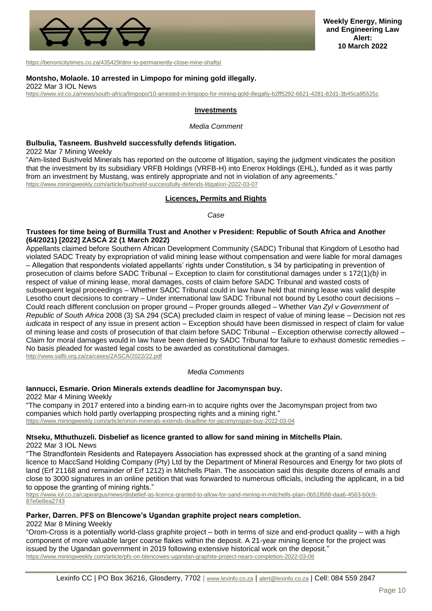

<https://benonicitytimes.co.za/435429/dmr-to-permanently-close-mine-shafts/>

### **Montsho, Molaole. 10 arrested in Limpopo for mining gold illegally.**

2022 Mar 3 IOL News

<span id="page-9-0"></span><https://www.iol.co.za/news/south-africa/limpopo/10-arrested-in-limpopo-for-mining-gold-illegally-b2ff5292-6621-4281-82d1-3b45ca95525c>

### **Investments**

*Media Comment*

### **Bulbulia, Tasneem. Bushveld successfully defends litigation.**

2022 Mar 7 Mining Weekly

"Aim-listed Bushveld Minerals has reported on the outcome of litigation, saying the judgment vindicates the position that the investment by its subsidiary VRFB Holdings (VRFB-H) into Enerox Holdings (EHL), funded as it was partly from an investment by Mustang, was entirely appropriate and not in violation of any agreements." <https://www.miningweekly.com/article/bushveld-successfully-defends-litigation-2022-03-07>

#### **Licences, Permits and Rights**

*Case*

#### <span id="page-9-1"></span>**Trustees for time being of Burmilla Trust and Another v President: Republic of South Africa and Another (64/2021) [2022] ZASCA 22 (1 March 2022)**

Appellants claimed before Southern African Development Community (SADC) Tribunal that Kingdom of Lesotho had violated SADC Treaty by expropriation of valid mining lease without compensation and were liable for moral damages – Allegation that respondents violated appellants' rights under Constitution, s 34 by participating in prevention of prosecution of claims before SADC Tribunal – Exception to claim for constitutional damages under s 172(1)*(b)* in respect of value of mining lease, moral damages, costs of claim before SADC Tribunal and wasted costs of subsequent legal proceedings – Whether SADC Tribunal could in law have held that mining lease was valid despite Lesotho court decisions to contrary – Under international law SADC Tribunal not bound by Lesotho court decisions – Could reach different conclusion on proper ground – Proper grounds alleged – Whether *Van Zyl v Government of Republic of South Africa* 2008 (3) SA 294 (SCA) precluded claim in respect of value of mining lease – Decision not *res iudicata* in respect of any issue in present action – Exception should have been dismissed in respect of claim for value of mining lease and costs of prosecution of that claim before SADC Tribunal – Exception otherwise correctly allowed – Claim for moral damages would in law have been denied by SADC Tribunal for failure to exhaust domestic remedies – No basis pleaded for wasted legal costs to be awarded as constitutional damages. <http://www.saflii.org.za/za/cases/ZASCA/2022/22.pdf>

*Media Comments*

### **Iannucci, Esmarie. Orion Minerals extends deadline for Jacomynspan buy.**

2022 Mar 4 Mining Weekly

"The company in 2017 entered into a binding earn-in to acquire rights over the Jacomynspan project from two companies which hold partly overlapping prospecting rights and a mining right." <https://www.miningweekly.com/article/orion-minerals-extends-deadline-for-jacomynspan-buy-2022-03-04>

#### **Ntseku, Mthuthuzeli. Disbelief as licence granted to allow for sand mining in Mitchells Plain.** 2022 Mar 3 IOL News

"The Strandfontein Residents and Ratepayers Association has expressed shock at the granting of a sand mining licence to MaccSand Holding Company (Pty) Ltd by the Department of Mineral Resources and Energy for two plots of land (Erf 21168 and remainder of Erf 1212) in Mitchells Plain. The association said this despite dozens of emails and close to 3000 signatures in an online petition that was forwarded to numerous officials, including the applicant, in a bid to oppose the granting of mining rights."

[https://www.iol.co.za/capeargus/news/disbelief-as-licence-granted-to-allow-for-sand-mining-in-mitchells-plain-0b51f688-daa6-4563-b0c9-](https://www.iol.co.za/capeargus/news/disbelief-as-licence-granted-to-allow-for-sand-mining-in-mitchells-plain-0b51f688-daa6-4563-b0c9-87e0e8ea2743) [87e0e8ea2743](https://www.iol.co.za/capeargus/news/disbelief-as-licence-granted-to-allow-for-sand-mining-in-mitchells-plain-0b51f688-daa6-4563-b0c9-87e0e8ea2743)

## **Parker, Darren. PFS on Blencowe's Ugandan graphite project nears completion.**

2022 Mar 8 Mining Weekly

"Orom-Cross is a potentially world-class graphite project – both in terms of size and end-product quality – with a high component of more valuable larger coarse flakes within the deposit. A 21-year mining licence for the project was issued by the Ugandan government in 2019 following extensive historical work on the deposit." <https://www.miningweekly.com/article/pfs-on-blencowes-ugandan-graphite-project-nears-completion-2022-03-08>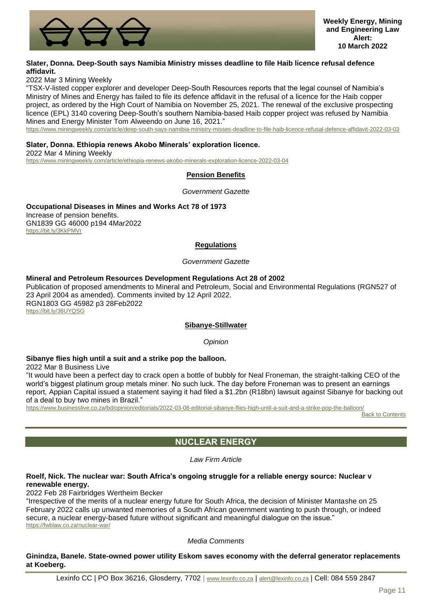

# **Slater, Donna. Deep-South says Namibia Ministry misses deadline to file Haib licence refusal defence affidavit.**

2022 Mar 3 Mining Weekly

"TSX-V-listed copper explorer and developer Deep-South Resources reports that the legal counsel of Namibia's Ministry of Mines and Energy has failed to file its defence affidavit in the refusal of a licence for the Haib copper project, as ordered by the High Court of Namibia on November 25, 2021. The renewal of the exclusive prospecting licence (EPL) 3140 covering Deep-South's southern Namibia-based Haib copper project was refused by Namibia Mines and Energy Minister Tom Alweendo on June 16, 2021."

<https://www.miningweekly.com/article/deep-south-says-namibia-ministry-misses-deadline-to-file-haib-licence-refusal-defence-affidavit-2022-03-03>

## **Slater, Donna. Ethiopia renews Akobo Minerals' exploration licence.**

<span id="page-10-0"></span>2022 Mar 4 Mining Weekly <https://www.miningweekly.com/article/ethiopia-renews-akobo-minerals-exploration-licence-2022-03-04>

# **Pension Benefits**

*Government Gazette*

**Occupational Diseases in Mines and Works Act 78 of 1973** Increase of pension benefits. GN1839 GG 46000 p194 4Mar2022 <https://bit.ly/3KkPMVr>

## **Regulations**

*Government Gazette*

### <span id="page-10-1"></span>**Mineral and Petroleum Resources Development Regulations Act 28 of 2002**

Publication of proposed amendments to Mineral and Petroleum, Social and Environmental Regulations (RGN527 of 23 April 2004 as amended). Comments invited by 12 April 2022. RGN1803 GG 45982 p3 28Feb2022 <https://bit.ly/36UYQSG>

### **Sibanye-Stillwater**

*Opinion*

# <span id="page-10-2"></span>**Sibanye flies high until a suit and a strike pop the balloon.**

2022 Mar 8 Business Live

"It would have been a perfect day to crack open a bottle of bubbly for Neal Froneman, the straight-talking CEO of the world's biggest platinum group metals miner. No such luck. The day before Froneman was to present an earnings report, Appian Capital issued a statement saying it had filed a \$1.2bn (R18bn) lawsuit against Sibanye for backing out of a deal to buy two mines in Brazil."

<span id="page-10-3"></span><https://www.businesslive.co.za/bd/opinion/editorials/2022-03-08-editorial-sibanye-flies-high-until-a-suit-and-a-strike-pop-the-balloon/>

**[Back to Contents](#page-0-0)** 

# **NUCLEAR ENERGY**

*Law Firm Article*

## **Roelf, Nick. The nuclear war: South Africa's ongoing struggle for a reliable energy source: Nuclear v renewable energy.**

2022 Feb 28 Fairbridges Wertheim Becker

"Irrespective of the merits of a nuclear energy future for South Africa, the decision of Minister Mantashe on 25 February 2022 calls up unwanted memories of a South African government wanting to push through, or indeed secure, a nuclear energy-based future without significant and meaningful dialogue on the issue." <https://fwblaw.co.za/nuclear-war/>

### *Media Comments*

# **Ginindza, Banele. State-owned power utility Eskom saves economy with the deferral generator replacements at Koeberg.**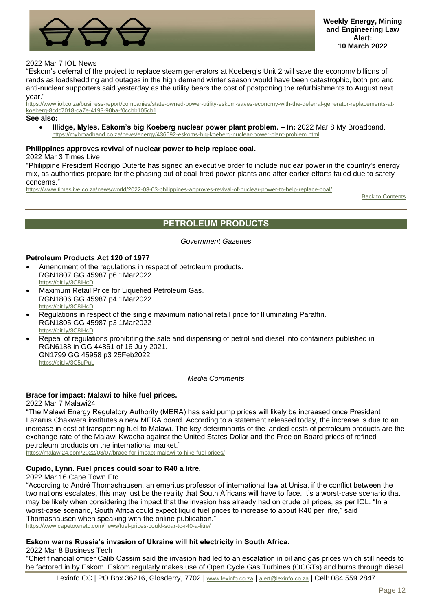![](_page_11_Picture_0.jpeg)

# 2022 Mar 7 IOL News

"Eskom's deferral of the project to replace steam generators at Koeberg's Unit 2 will save the economy billions of rands as loadshedding and outages in the high demand winter season would have been catastrophic, both pro and anti-nuclear supporters said yesterday as the utility bears the cost of postponing the refurbishments to August next year."

[https://www.iol.co.za/business-report/companies/state-owned-power-utility-eskom-saves-economy-with-the-deferral-generator-replacements-at](https://www.iol.co.za/business-report/companies/state-owned-power-utility-eskom-saves-economy-with-the-deferral-generator-replacements-at-koeberg-8cdc7018-ca7e-4193-90ba-f0ccbb105cb1)[koeberg-8cdc7018-ca7e-4193-90ba-f0ccbb105cb1](https://www.iol.co.za/business-report/companies/state-owned-power-utility-eskom-saves-economy-with-the-deferral-generator-replacements-at-koeberg-8cdc7018-ca7e-4193-90ba-f0ccbb105cb1)

#### **See also:**

• **Illidge, Myles. Eskom's big Koeberg nuclear power plant problem. – In:** 2022 Mar 8 My Broadband. <https://mybroadband.co.za/news/energy/436592-eskoms-big-koeberg-nuclear-power-plant-problem.html>

### **Philippines approves revival of nuclear power to help replace coal.**

### 2022 Mar 3 Times Live

"Philippine President Rodrigo Duterte has signed an executive order to include nuclear power in the country's energy mix, as authorities prepare for the phasing out of coal-fired power plants and after earlier efforts failed due to safety concerns."

<span id="page-11-0"></span><https://www.timeslive.co.za/news/world/2022-03-03-philippines-approves-revival-of-nuclear-power-to-help-replace-coal/>

**[Back to Contents](#page-0-0)** 

# **PETROLEUM PRODUCTS**

*Government Gazettes*

## **Petroleum Products Act 120 of 1977**

- Amendment of the regulations in respect of petroleum products. RGN1807 GG 45987 p6 1Mar2022 <https://bit.ly/3C8iHcD>
- Maximum Retail Price for Liquefied Petroleum Gas. RGN1806 GG 45987 p4 1Mar2022 <https://bit.ly/3C8iHcD>
- Regulations in respect of the single maximum national retail price for Illuminating Paraffin. RGN1805 GG 45987 p3 1Mar2022 <https://bit.ly/3C8iHcD>
- Repeal of regulations prohibiting the sale and dispensing of petrol and diesel into containers published in RGN6188 in GG 44861 of 16 July 2021. GN1799 GG 45958 p3 25Feb2022 <https://bit.ly/3C5uPuL>

*Media Comments*

### **Brace for impact: Malawi to hike fuel prices.**

#### 2022 Mar 7 Malawi24

"The Malawi Energy Regulatory Authority (MERA) has said pump prices will likely be increased once President Lazarus Chakwera institutes a new MERA board. According to a statement released today, the increase is due to an increase in cost of transporting fuel to Malawi. The key determinants of the landed costs of petroleum products are the exchange rate of the Malawi Kwacha against the United States Dollar and the Free on Board prices of refined petroleum products on the international market."

<https://malawi24.com/2022/03/07/brace-for-impact-malawi-to-hike-fuel-prices/>

### **Cupido, Lynn. Fuel prices could soar to R40 a litre.**

2022 Mar 16 Cape Town Etc

"According to André Thomashausen, an emeritus professor of international law at Unisa, if the conflict between the two nations escalates, this may just be the reality that South Africans will have to face. It's a worst-case scenario that may be likely when considering the impact that the invasion has already had on crude oil prices, as per IOL. "In a worst-case scenario, South Africa could expect liquid fuel prices to increase to about R40 per litre," said Thomashausen when speaking with the online publication." <https://www.capetownetc.com/news/fuel-prices-could-soar-to-r40-a-litre/>

### **Eskom warns Russia's invasion of Ukraine will hit electricity in South Africa.**

2022 Mar 8 Business Tech

"Chief financial officer Calib Cassim said the invasion had led to an escalation in oil and gas prices which still needs to be factored in by Eskom. Eskom regularly makes use of Open Cycle Gas Turbines (OCGTs) and burns through diesel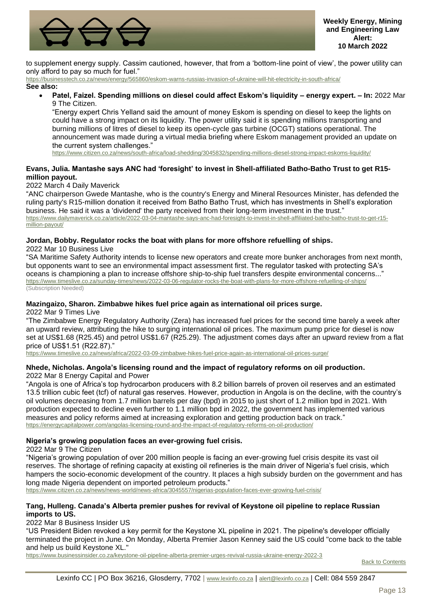![](_page_12_Picture_0.jpeg)

to supplement energy supply. Cassim cautioned, however, that from a 'bottom-line point of view', the power utility can only afford to pay so much for fuel."

<https://businesstech.co.za/news/energy/565860/eskom-warns-russias-invasion-of-ukraine-will-hit-electricity-in-south-africa/> **See also:**

• **Patel, Faizel. Spending millions on diesel could affect Eskom's liquidity – energy expert. – In:** 2022 Mar 9 The Citizen.

"Energy expert Chris Yelland said the amount of money Eskom is spending on diesel to keep the lights on could have a strong impact on its liquidity. The power utility said it is spending millions transporting and burning millions of litres of diesel to keep its open-cycle gas turbine (OCGT) stations operational. The announcement was made during a virtual media briefing where Eskom management provided an update on the current system challenges."

<https://www.citizen.co.za/news/south-africa/load-shedding/3045832/spending-millions-diesel-strong-impact-eskoms-liquidity/>

# **Evans, Julia. Mantashe says ANC had 'foresight' to invest in Shell-affiliated Batho-Batho Trust to get R15 million payout.**

# 2022 March 4 Daily Maverick

"ANC chairperson Gwede Mantashe, who is the country's Energy and Mineral Resources Minister, has defended the ruling party's R15-million donation it received from Batho Batho Trust, which has investments in Shell's exploration business. He said it was a 'dividend' the party received from their long-term investment in the trust." [https://www.dailymaverick.co.za/article/2022-03-04-mantashe-says-anc-had-foresight-to-invest-in-shell-affiliated-batho-batho-trust-to-get-r15](https://www.dailymaverick.co.za/article/2022-03-04-mantashe-says-anc-had-foresight-to-invest-in-shell-affiliated-batho-batho-trust-to-get-r15-million-payout/) [million-payout/](https://www.dailymaverick.co.za/article/2022-03-04-mantashe-says-anc-had-foresight-to-invest-in-shell-affiliated-batho-batho-trust-to-get-r15-million-payout/)

# **Jordan, Bobby. Regulator rocks the boat with plans for more offshore refuelling of ships.**

2022 Mar 10 Business Live

"SA Maritime Safety Authority intends to license new operators and create more bunker anchorages from next month, but opponents want to see an environmental impact assessment first. The regulator tasked with protecting SA's oceans is championing a plan to increase offshore ship-to-ship fuel transfers despite environmental concerns..." <https://www.timeslive.co.za/sunday-times/news/2022-03-06-regulator-rocks-the-boat-with-plans-for-more-offshore-refuelling-of-ships/> (Subscription Needed)

# **Mazingaizo, Sharon. Zimbabwe hikes fuel price again as international oil prices surge.**

2022 Mar 9 Times Live

"The Zimbabwe Energy Regulatory Authority (Zera) has increased fuel prices for the second time barely a week after an upward review, attributing the hike to surging international oil prices. The maximum pump price for diesel is now set at US\$1.68 (R25.45) and petrol US\$1.67 (R25.29). The adjustment comes days after an upward review from a flat price of US\$1.51 (R22.87)."

<https://www.timeslive.co.za/news/africa/2022-03-09-zimbabwe-hikes-fuel-price-again-as-international-oil-prices-surge/>

# **Nhede, Nicholas. Angola's licensing round and the impact of regulatory reforms on oil production.** 2022 Mar 8 Energy Capital and Power

"Angola is one of Africa's top hydrocarbon producers with 8.2 billion barrels of proven oil reserves and an estimated 13.5 trillion cubic feet (tcf) of natural gas reserves. However, production in Angola is on the decline, with the country's oil volumes decreasing from 1.7 million barrels per day (bpd) in 2015 to just short of 1.2 million bpd in 2021. With production expected to decline even further to 1.1 million bpd in 2022, the government has implemented various measures and policy reforms aimed at increasing exploration and getting production back on track." <https://energycapitalpower.com/angolas-licensing-round-and-the-impact-of-regulatory-reforms-on-oil-production/>

# **Nigeria's growing population faces an ever-growing fuel crisis.**

2022 Mar 9 The Citizen

"Nigeria's growing population of over 200 million people is facing an ever-growing fuel crisis despite its vast oil reserves. The shortage of refining capacity at existing oil refineries is the main driver of Nigeria's fuel crisis, which hampers the socio-economic development of the country. It places a high subsidy burden on the government and has long made Nigeria dependent on imported petroleum products."

<https://www.citizen.co.za/news/news-world/news-africa/3045557/nigerias-population-faces-ever-growing-fuel-crisis/>

# **Tang, Hulleng. Canada's Alberta premier pushes for revival of Keystone oil pipeline to replace Russian imports to US.**

2022 Mar 8 Business Insider US

"US President Biden revoked a key permit for the Keystone XL pipeline in 2021. The pipeline's developer officially terminated the project in June. On Monday, Alberta Premier Jason Kenney said the US could "come back to the table and help us build Keystone XL."

<https://www.businessinsider.co.za/keystone-oil-pipeline-alberta-premier-urges-revival-russia-ukraine-energy-2022-3>

[Back to Contents](#page-0-0)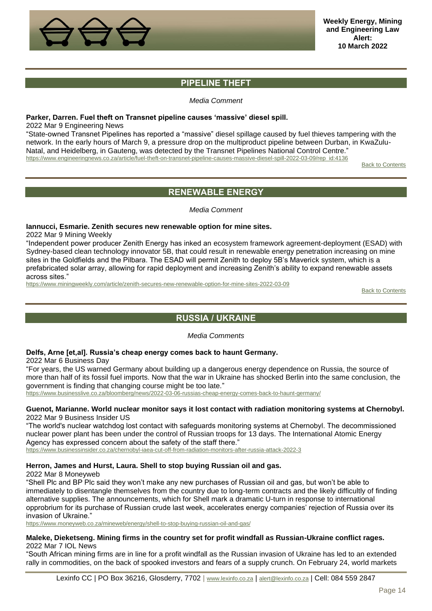![](_page_13_Picture_0.jpeg)

# **PIPELINE THEFT**

## *Media Comment*

# <span id="page-13-0"></span>**Parker, Darren. Fuel theft on Transnet pipeline causes 'massive' diesel spill.**

2022 Mar 9 Engineering News

"State-owned Transnet Pipelines has reported a "massive" diesel spillage caused by fuel thieves tampering with the network. In the early hours of March 9, a pressure drop on the multiproduct pipeline between Durban, in KwaZulu-Natal, and Heidelberg, in Gauteng, was detected by the Transnet Pipelines National Control Centre." [https://www.engineeringnews.co.za/article/fuel-theft-on-transnet-pipeline-causes-massive-diesel-spill-2022-03-09/rep\\_id:4136](https://www.engineeringnews.co.za/article/fuel-theft-on-transnet-pipeline-causes-massive-diesel-spill-2022-03-09/rep_id:4136)

[Back to Contents](#page-0-0)

# **RENEWABLE ENERGY**

*Media Comment*

# <span id="page-13-1"></span>**Iannucci, Esmarie. Zenith secures new renewable option for mine sites.**

2022 Mar 9 Mining Weekly

"Independent power producer Zenith Energy has inked an ecosystem framework agreement-deployment (ESAD) with Sydney-based clean technology innovator 5B, that could result in renewable energy penetration increasing on mine sites in the Goldfields and the Pilbara. The ESAD will permit Zenith to deploy 5B's Maverick system, which is a prefabricated solar array, allowing for rapid deployment and increasing Zenith's ability to expand renewable assets across sites."

<span id="page-13-2"></span><https://www.miningweekly.com/article/zenith-secures-new-renewable-option-for-mine-sites-2022-03-09>

[Back to Contents](#page-0-0)

# **RUSSIA / UKRAINE**

*Media Comments*

# **Delfs, Arne [et,al]. Russia's cheap energy comes back to haunt Germany.**

2022 Mar 6 Business Day

"For years, the US warned Germany about building up a dangerous energy dependence on Russia, the source of more than half of its fossil fuel imports. Now that the war in Ukraine has shocked Berlin into the same conclusion, the government is finding that changing course might be too late."

<https://www.businesslive.co.za/bloomberg/news/2022-03-06-russias-cheap-energy-comes-back-to-haunt-germany/>

### **Guenot, Marianne. World nuclear monitor says it lost contact with radiation monitoring systems at Chernobyl.** 2022 Mar 9 Business Insider US

"The world's nuclear watchdog lost contact with safeguards monitoring systems at Chernobyl. The decommissioned nuclear power plant has been under the control of Russian troops for 13 days. The International Atomic Energy Agency has expressed concern about the safety of the staff there."

<https://www.businessinsider.co.za/chernobyl-iaea-cut-off-from-radiation-monitors-after-russia-attack-2022-3>

# **Herron, James and Hurst, Laura. Shell to stop buying Russian oil and gas.**

2022 Mar 8 Moneyweb

"Shell Plc and BP Plc said they won't make any new purchases of Russian oil and gas, but won't be able to immediately to disentangle themselves from the country due to long-term contracts and the likely difficultly of finding alternative supplies. The announcements, which for Shell mark a dramatic U-turn in response to international opprobrium for its purchase of Russian crude last week, accelerates energy companies' rejection of Russia over its invasion of Ukraine."

<https://www.moneyweb.co.za/mineweb/energy/shell-to-stop-buying-russian-oil-and-gas/>

### **Maleke, Dieketseng. Mining firms in the country set for profit windfall as Russian-Ukraine conflict rages.** 2022 Mar 7 IOL News

"South African mining firms are in line for a profit windfall as the Russian invasion of Ukraine has led to an extended rally in commodities, on the back of spooked investors and fears of a supply crunch. On February 24, world markets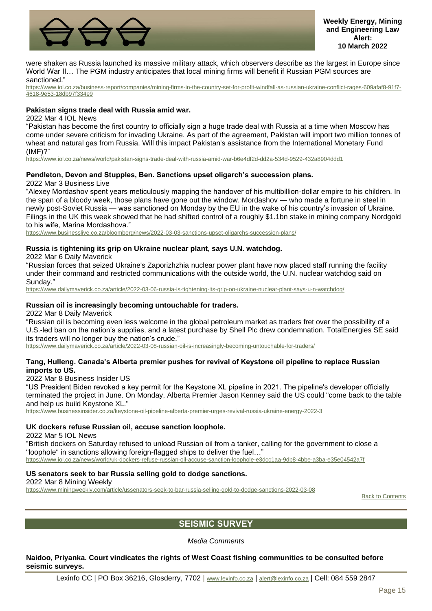![](_page_14_Picture_0.jpeg)

were shaken as Russia launched its massive military attack, which observers describe as the largest in Europe since World War II... The PGM industry anticipates that local mining firms will benefit if Russian PGM sources are sanctioned."

[https://www.iol.co.za/business-report/companies/mining-firms-in-the-country-set-for-profit-windfall-as-russian-ukraine-conflict-rages-609afaf8-91f7-](https://www.iol.co.za/business-report/companies/mining-firms-in-the-country-set-for-profit-windfall-as-russian-ukraine-conflict-rages-609afaf8-91f7-4618-9e53-18db97f334e9) [4618-9e53-18db97f334e9](https://www.iol.co.za/business-report/companies/mining-firms-in-the-country-set-for-profit-windfall-as-russian-ukraine-conflict-rages-609afaf8-91f7-4618-9e53-18db97f334e9)

## **Pakistan signs trade deal with Russia amid war.**

2022 Mar 4 IOL News

"Pakistan has become the first country to officially sign a huge trade deal with Russia at a time when Moscow has come under severe criticism for invading Ukraine. As part of the agreement, Pakistan will import two million tonnes of wheat and natural gas from Russia. Will this impact Pakistan's assistance from the International Monetary Fund (IMF)?"

<https://www.iol.co.za/news/world/pakistan-signs-trade-deal-with-russia-amid-war-b6e4df2d-dd2a-534d-9529-432a8904ddd1>

## **Pendleton, Devon and Stupples, Ben. Sanctions upset oligarch's succession plans.**

2022 Mar 3 Business Live

"Alexey Mordashov spent years meticulously mapping the handover of his multibillion-dollar empire to his children. In the span of a bloody week, those plans have gone out the window. Mordashov — who made a fortune in steel in newly post-Soviet Russia — was sanctioned on Monday by the EU in the wake of his country's invasion of Ukraine. Filings in the UK this week showed that he had shifted control of a roughly \$1.1bn stake in mining company Nordgold to his wife, Marina Mordashova."

<https://www.businesslive.co.za/bloomberg/news/2022-03-03-sanctions-upset-oligarchs-succession-plans/>

### **Russia is tightening its grip on Ukraine nuclear plant, says U.N. watchdog.**

2022 Mar 6 Daily Maverick

"Russian forces that seized Ukraine's Zaporizhzhia nuclear power plant have now placed staff running the facility under their command and restricted communications with the outside world, the U.N. nuclear watchdog said on Sunday."

<https://www.dailymaverick.co.za/article/2022-03-06-russia-is-tightening-its-grip-on-ukraine-nuclear-plant-says-u-n-watchdog/>

## **Russian oil is increasingly becoming untouchable for traders.**

2022 Mar 8 Daily Maverick

"Russian oil is becoming even less welcome in the global petroleum market as traders fret over the possibility of a U.S.-led ban on the nation's supplies, and a latest purchase by Shell Plc drew condemnation. TotalEnergies SE said its traders will no longer buy the nation's crude."

<https://www.dailymaverick.co.za/article/2022-03-08-russian-oil-is-increasingly-becoming-untouchable-for-traders/>

## **Tang, Hulleng. Canada's Alberta premier pushes for revival of Keystone oil pipeline to replace Russian imports to US.**

2022 Mar 8 Business Insider US

"US President Biden revoked a key permit for the Keystone XL pipeline in 2021. The pipeline's developer officially terminated the project in June. On Monday, Alberta Premier Jason Kenney said the US could "come back to the table and help us build Keystone XL."

<https://www.businessinsider.co.za/keystone-oil-pipeline-alberta-premier-urges-revival-russia-ukraine-energy-2022-3>

### **UK dockers refuse Russian oil, accuse sanction loophole.**

2022 Mar 5 IOL News

"British dockers on Saturday refused to unload Russian oil from a tanker, calling for the government to close a "loophole" in sanctions allowing foreign-flagged ships to deliver the fuel... <https://www.iol.co.za/news/world/uk-dockers-refuse-russian-oil-accuse-sanction-loophole-e3dcc1aa-9db8-4bbe-a3ba-e35e04542a7f>

# **US senators seek to bar Russia selling gold to dodge sanctions.**

2022 Mar 8 Mining Weekly <https://www.miningweekly.com/article/ussenators-seek-to-bar-russia-selling-gold-to-dodge-sanctions-2022-03-08>

**[Back to Contents](#page-0-0)** 

# **SEISMIC SURVEY**

*Media Comments*

<span id="page-14-0"></span>**Naidoo, Priyanka. Court vindicates the rights of West Coast fishing communities to be consulted before seismic surveys.**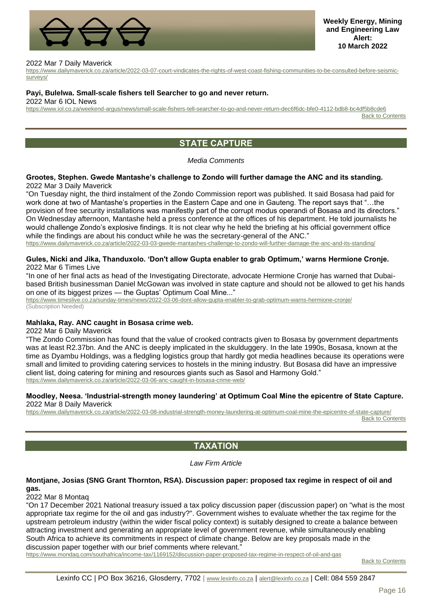![](_page_15_Picture_0.jpeg)

#### 2022 Mar 7 Daily Maverick

[https://www.dailymaverick.co.za/article/2022-03-07-court-vindicates-the-rights-of-west-coast-fishing-communities-to-be-consulted-before-seismic](https://www.dailymaverick.co.za/article/2022-03-07-court-vindicates-the-rights-of-west-coast-fishing-communities-to-be-consulted-before-seismic-surveys/)[surveys/](https://www.dailymaverick.co.za/article/2022-03-07-court-vindicates-the-rights-of-west-coast-fishing-communities-to-be-consulted-before-seismic-surveys/)

#### **Payi, Bulelwa. Small-scale fishers tell Searcher to go and never return.**

2022 Mar 6 IOL News

<span id="page-15-0"></span><https://www.iol.co.za/weekend-argus/news/small-scale-fishers-tell-searcher-to-go-and-never-return-dec6f6dc-bfe0-4112-bdb8-bc4df5b8cde6>

**[Back to Contents](#page-0-0)** 

# **STATE CAPTURE**

#### *Media Comments*

#### **Grootes, Stephen. Gwede Mantashe's challenge to Zondo will further damage the ANC and its standing.** 2022 Mar 3 Daily Maverick

"On Tuesday night, the third instalment of the Zondo Commission report was published. It said Bosasa had paid for work done at two of Mantashe's properties in the Eastern Cape and one in Gauteng. The report says that "…the provision of free security installations was manifestly part of the corrupt modus operandi of Bosasa and its directors." On Wednesday afternoon, Mantashe held a press conference at the offices of his department. He told journalists he would challenge Zondo's explosive findings. It is not clear why he held the briefing at his official government office while the findings are about his conduct while he was the secretary-general of the ANC." <https://www.dailymaverick.co.za/article/2022-03-03-gwede-mantashes-challenge-to-zondo-will-further-damage-the-anc-and-its-standing/>

### **Gules, Nicki and Jika, Thanduxolo. 'Don't allow Gupta enabler to grab Optimum,' warns Hermione Cronje.** 2022 Mar 6 Times Live

"In one of her final acts as head of the Investigating Directorate, advocate Hermione Cronje has warned that Dubaibased British businessman Daniel McGowan was involved in state capture and should not be allowed to get his hands on one of its biggest prizes — the Guptas' Optimum Coal Mine..."

<https://www.timeslive.co.za/sunday-times/news/2022-03-06-dont-allow-gupta-enabler-to-grab-optimum-warns-hermione-cronje/> (Subscription Needed)

### **Mahlaka, Ray. ANC caught in Bosasa crime web.**

2022 Mar 6 Daily Maverick

"The Zondo Commission has found that the value of crooked contracts given to Bosasa by government departments was at least R2.37bn. And the ANC is deeply implicated in the skulduggery. In the late 1990s, Bosasa, known at the time as Dyambu Holdings, was a fledgling logistics group that hardly got media headlines because its operations were small and limited to providing catering services to hostels in the mining industry. But Bosasa did have an impressive client list, doing catering for mining and resources giants such as Sasol and Harmony Gold." <https://www.dailymaverick.co.za/article/2022-03-06-anc-caught-in-bosasa-crime-web/>

#### **Moodley, Neesa. 'Industrial-strength money laundering' at Optimum Coal Mine the epicentre of State Capture.** 2022 Mar 8 Daily Maverick

<span id="page-15-1"></span><https://www.dailymaverick.co.za/article/2022-03-08-industrial-strength-money-laundering-at-optimum-coal-mine-the-epicentre-of-state-capture/> [Back to Contents](#page-0-0)

# **TAXATION**

*Law Firm Article*

# **Montjane, Josias (SNG Grant Thornton, RSA). Discussion paper: proposed tax regime in respect of oil and gas.**

## 2022 Mar 8 Montaq

"On 17 December 2021 National treasury issued a tax policy discussion paper (discussion paper) on "what is the most appropriate tax regime for the oil and gas industry?". Government wishes to evaluate whether the tax regime for the upstream petroleum industry (within the wider fiscal policy context) is suitably designed to create a balance between attracting investment and generating an appropriate level of government revenue, while simultaneously enabling South Africa to achieve its commitments in respect of climate change. Below are key proposals made in the discussion paper together with our brief comments where relevant."

<https://www.mondaq.com/southafrica/income-tax/1169152/discussion-paper-proposed-tax-regime-in-respect-of-oil-and-gas>

**[Back to Contents](#page-0-0)**